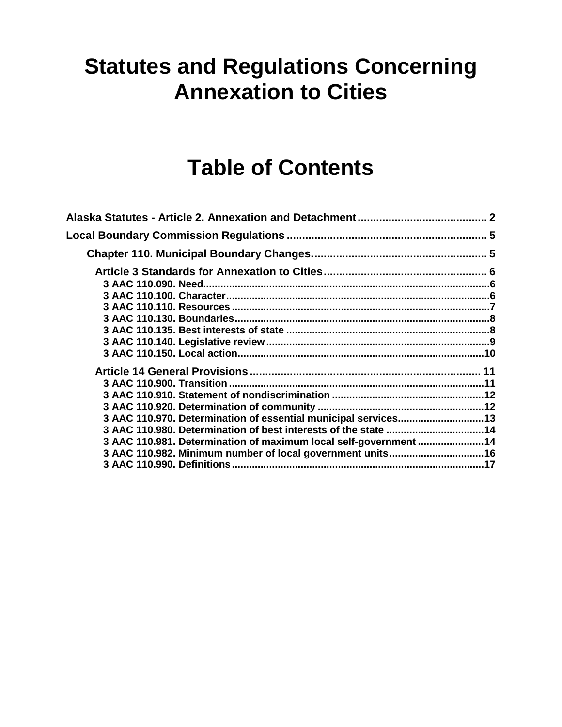# **Statutes and Regulations Concerning Annexation to Cities**

# **Table of Contents**

| Alaska Statutes - Article 2. Annexation and Detachment………………………………………… 2 |  |
|--------------------------------------------------------------------------|--|
|                                                                          |  |
|                                                                          |  |
|                                                                          |  |
|                                                                          |  |
|                                                                          |  |
|                                                                          |  |
|                                                                          |  |
|                                                                          |  |
|                                                                          |  |
|                                                                          |  |
|                                                                          |  |
|                                                                          |  |
|                                                                          |  |
|                                                                          |  |
| 3 AAC 110.970. Determination of essential municipal services13           |  |
| 3 AAC 110.980. Determination of best interests of the state 14           |  |
| 3 AAC 110.981. Determination of maximum local self-government 14         |  |
|                                                                          |  |
|                                                                          |  |
|                                                                          |  |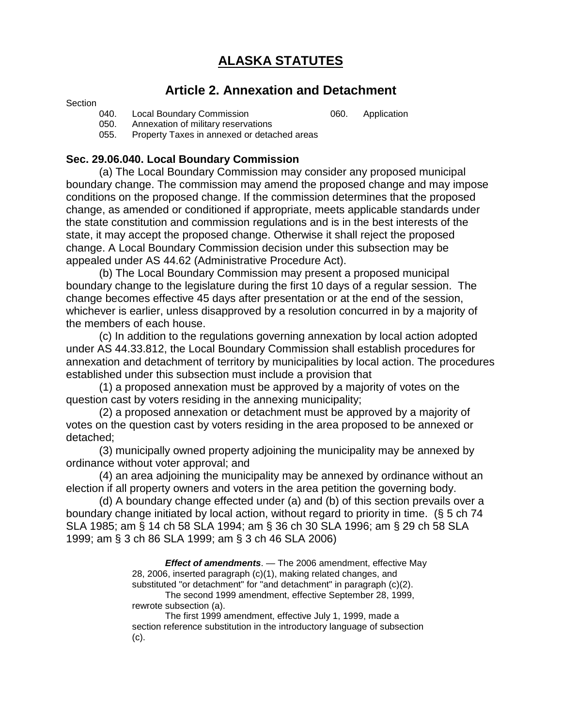# **ALASKA STATUTES**

## **Article 2. Annexation and Detachment**

#### **Section**

040. Local Boundary Commission **060.** Application

050. Annexation of military reservations<br>055. Property Taxes in annexed or detac

Property Taxes in annexed or detached areas

## **Sec. 29.06.040. Local Boundary Commission**

(a) The Local Boundary Commission may consider any proposed municipal boundary change. The commission may amend the proposed change and may impose conditions on the proposed change. If the commission determines that the proposed change, as amended or conditioned if appropriate, meets applicable standards under the state constitution and commission regulations and is in the best interests of the state, it may accept the proposed change. Otherwise it shall reject the proposed change. A Local Boundary Commission decision under this subsection may be appealed under AS 44.62 (Administrative Procedure Act).

(b) The Local Boundary Commission may present a proposed municipal boundary change to the legislature during the first 10 days of a regular session. The change becomes effective 45 days after presentation or at the end of the session, whichever is earlier, unless disapproved by a resolution concurred in by a majority of the members of each house.

(c) In addition to the regulations governing annexation by local action adopted under AS 44.33.812, the Local Boundary Commission shall establish procedures for annexation and detachment of territory by municipalities by local action. The procedures established under this subsection must include a provision that

(1) a proposed annexation must be approved by a majority of votes on the question cast by voters residing in the annexing municipality;

(2) a proposed annexation or detachment must be approved by a majority of votes on the question cast by voters residing in the area proposed to be annexed or detached;

(3) municipally owned property adjoining the municipality may be annexed by ordinance without voter approval; and

(4) an area adjoining the municipality may be annexed by ordinance without an election if all property owners and voters in the area petition the governing body.

(d) A boundary change effected under (a) and (b) of this section prevails over a boundary change initiated by local action, without regard to priority in time. (§ 5 ch 74 SLA 1985; am § 14 ch 58 SLA 1994; am § 36 ch 30 SLA 1996; am § 29 ch 58 SLA 1999; am § 3 ch 86 SLA 1999; am § 3 ch 46 SLA 2006)

> *Effect of amendments*. — The 2006 amendment, effective May 28, 2006, inserted paragraph (c)(1), making related changes, and substituted "or detachment" for "and detachment" in paragraph (c)(2).

The second 1999 amendment, effective September 28, 1999, rewrote subsection (a).

The first 1999 amendment, effective July 1, 1999, made a section reference substitution in the introductory language of subsection (c).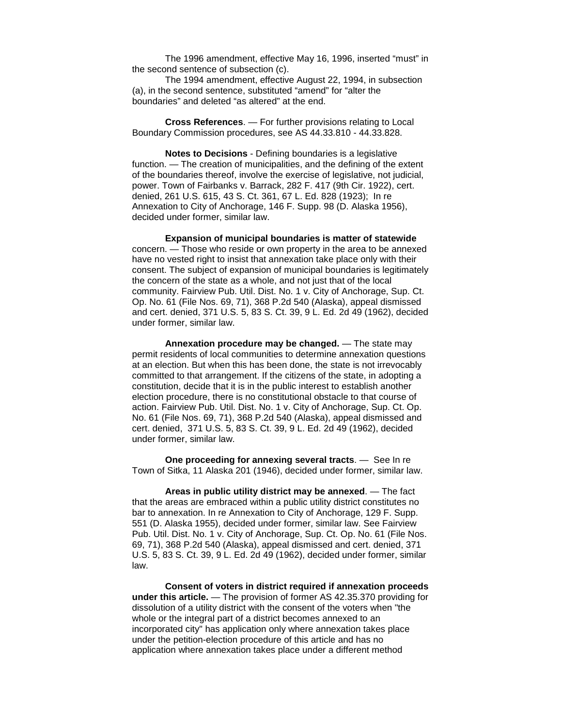The 1996 amendment, effective May 16, 1996, inserted "must" in the second sentence of subsection (c).

The 1994 amendment, effective August 22, 1994, in subsection (a), in the second sentence, substituted "amend" for "alter the boundaries" and deleted "as altered" at the end.

**Cross References**. — For further provisions relating to Local Boundary Commission procedures, see AS 44.33.810 - 44.33.828.

**Notes to Decisions** - Defining boundaries is a legislative function. — The creation of municipalities, and the defining of the extent of the boundaries thereof, involve the exercise of legislative, not judicial, power. Town of Fairbanks v. Barrack, 282 F. 417 (9th Cir. 1922), cert. denied, 261 U.S. 615, 43 S. Ct. 361, 67 L. Ed. 828 (1923); In re Annexation to City of Anchorage, 146 F. Supp. 98 (D. Alaska 1956), decided under former, similar law.

**Expansion of municipal boundaries is matter of statewide**  concern. — Those who reside or own property in the area to be annexed have no vested right to insist that annexation take place only with their consent. The subject of expansion of municipal boundaries is legitimately the concern of the state as a whole, and not just that of the local community. Fairview Pub. Util. Dist. No. 1 v. City of Anchorage, Sup. Ct. Op. No. 61 (File Nos. 69, 71), 368 P.2d 540 (Alaska), appeal dismissed and cert. denied, 371 U.S. 5, 83 S. Ct. 39, 9 L. Ed. 2d 49 (1962), decided under former, similar law.

**Annexation procedure may be changed.** — The state may permit residents of local communities to determine annexation questions at an election. But when this has been done, the state is not irrevocably committed to that arrangement. If the citizens of the state, in adopting a constitution, decide that it is in the public interest to establish another election procedure, there is no constitutional obstacle to that course of action. Fairview Pub. Util. Dist. No. 1 v. City of Anchorage, Sup. Ct. Op. No. 61 (File Nos. 69, 71), 368 P.2d 540 (Alaska), appeal dismissed and cert. denied, 371 U.S. 5, 83 S. Ct. 39, 9 L. Ed. 2d 49 (1962), decided under former, similar law.

**One proceeding for annexing several tracts**. — See In re Town of Sitka, 11 Alaska 201 (1946), decided under former, similar law.

**Areas in public utility district may be annexed**. — The fact that the areas are embraced within a public utility district constitutes no bar to annexation. In re Annexation to City of Anchorage, 129 F. Supp. 551 (D. Alaska 1955), decided under former, similar law. See Fairview Pub. Util. Dist. No. 1 v. City of Anchorage, Sup. Ct. Op. No. 61 (File Nos. 69, 71), 368 P.2d 540 (Alaska), appeal dismissed and cert. denied, 371 U.S. 5, 83 S. Ct. 39, 9 L. Ed. 2d 49 (1962), decided under former, similar law.

**Consent of voters in district required if annexation proceeds under this article.** — The provision of former AS 42.35.370 providing for dissolution of a utility district with the consent of the voters when "the whole or the integral part of a district becomes annexed to an incorporated city" has application only where annexation takes place under the petition-election procedure of this article and has no application where annexation takes place under a different method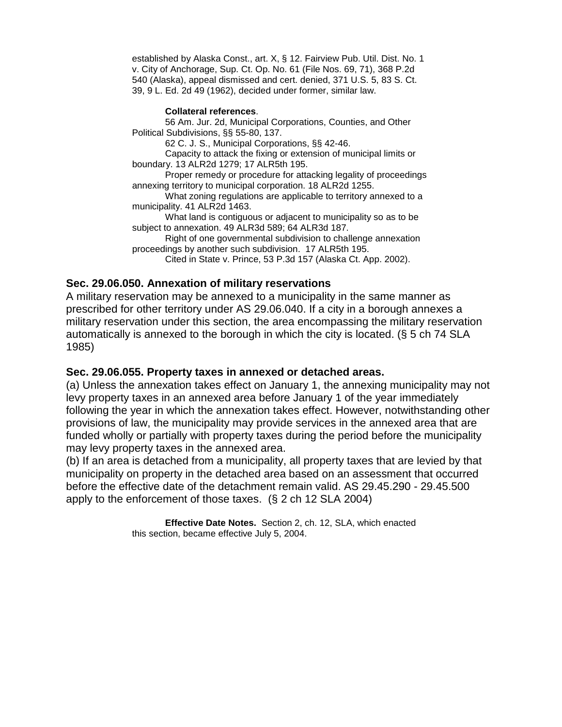established by Alaska Const., art. X, § 12. Fairview Pub. Util. Dist. No. 1 v. City of Anchorage, Sup. Ct. Op. No. 61 (File Nos. 69, 71), 368 P.2d 540 (Alaska), appeal dismissed and cert. denied, 371 U.S. 5, 83 S. Ct. 39, 9 L. Ed. 2d 49 (1962), decided under former, similar law.

#### **Collateral references**.

56 Am. Jur. 2d, Municipal Corporations, Counties, and Other Political Subdivisions, §§ 55-80, 137.

62 C. J. S., Municipal Corporations, §§ 42-46.

Capacity to attack the fixing or extension of municipal limits or boundary. 13 ALR2d 1279; 17 ALR5th 195.

Proper remedy or procedure for attacking legality of proceedings annexing territory to municipal corporation. 18 ALR2d 1255.

What zoning regulations are applicable to territory annexed to a municipality. 41 ALR2d 1463.

What land is contiguous or adjacent to municipality so as to be subject to annexation. 49 ALR3d 589; 64 ALR3d 187.

Right of one governmental subdivision to challenge annexation proceedings by another such subdivision. 17 ALR5th 195.

Cited in State v. Prince, 53 P.3d 157 (Alaska Ct. App. 2002).

#### **Sec. 29.06.050. Annexation of military reservations**

A military reservation may be annexed to a municipality in the same manner as prescribed for other territory under AS 29.06.040. If a city in a borough annexes a military reservation under this section, the area encompassing the military reservation automatically is annexed to the borough in which the city is located. (§ 5 ch 74 SLA 1985)

#### **Sec. 29.06.055. Property taxes in annexed or detached areas.**

(a) Unless the annexation takes effect on January 1, the annexing municipality may not levy property taxes in an annexed area before January 1 of the year immediately following the year in which the annexation takes effect. However, notwithstanding other provisions of law, the municipality may provide services in the annexed area that are funded wholly or partially with property taxes during the period before the municipality may levy property taxes in the annexed area.

(b) If an area is detached from a municipality, all property taxes that are levied by that municipality on property in the detached area based on an assessment that occurred before the effective date of the detachment remain valid. AS 29.45.290 - 29.45.500 apply to the enforcement of those taxes. (§ 2 ch 12 SLA 2004)

> **Effective Date Notes.** Section 2, ch. 12, SLA, which enacted this section, became effective July 5, 2004.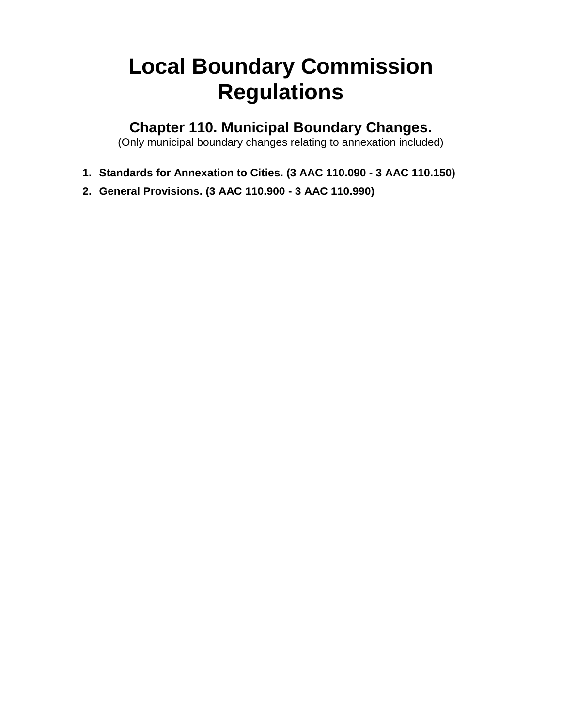# <span id="page-4-0"></span>**Local Boundary Commission Regulations**

**Chapter 110. Municipal Boundary Changes.**

(Only municipal boundary changes relating to annexation included)

- <span id="page-4-1"></span>**1. Standards for Annexation to Cities. (3 AAC 110.090 - 3 AAC 110.150)**
- **2. General Provisions. (3 AAC 110.900 - 3 AAC 110.990)**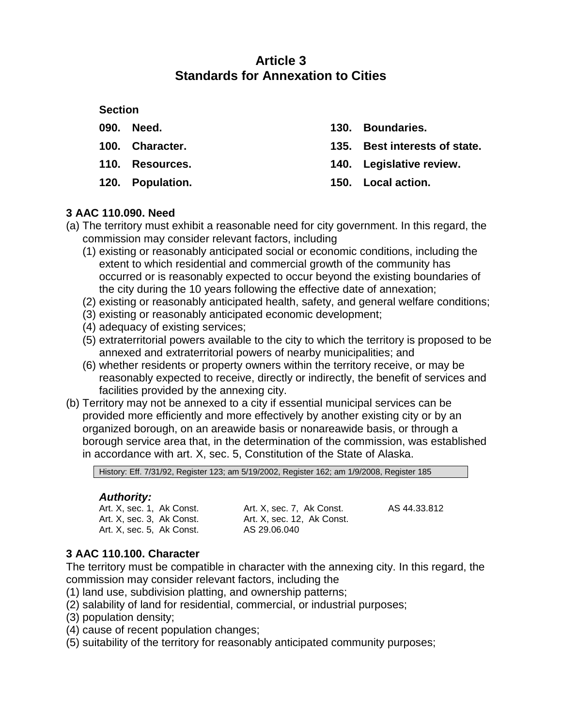## **Article 3 Standards for Annexation to Cities**

### <span id="page-5-0"></span>**Section**

- **090. Need.**
- **100. Character.**
- **110. Resources.**

**120. Population.**

- **130. Boundaries.**
- **135. Best interests of state.**
- **140. Legislative review.**
- **150. Local action.**

## <span id="page-5-1"></span>**3 AAC 110.090. Need**

- (a) The territory must exhibit a reasonable need for city government. In this regard, the commission may consider relevant factors, including
	- (1) existing or reasonably anticipated social or economic conditions, including the extent to which residential and commercial growth of the community has occurred or is reasonably expected to occur beyond the existing boundaries of the city during the 10 years following the effective date of annexation;
	- (2) existing or reasonably anticipated health, safety, and general welfare conditions;
	- (3) existing or reasonably anticipated economic development;
	- (4) adequacy of existing services;
	- (5) extraterritorial powers available to the city to which the territory is proposed to be annexed and extraterritorial powers of nearby municipalities; and
	- (6) whether residents or property owners within the territory receive, or may be reasonably expected to receive, directly or indirectly, the benefit of services and facilities provided by the annexing city.
- (b) Territory may not be annexed to a city if essential municipal services can be provided more efficiently and more effectively by another existing city or by an organized borough, on an areawide basis or nonareawide basis, or through a borough service area that, in the determination of the commission, was established in accordance with art. X, sec. 5, Constitution of the State of Alaska.

History: Eff. 7/31/92, Register 123; am 5/19/2002, Register 162; am 1/9/2008, Register 185

## *Authority:*

Art. X, sec. 1, Ak Const. Art. X, sec. 3, Ak Const. Art. X, sec. 5, Ak Const.

Art. X, sec. 7, Ak Const. Art. X, sec. 12, Ak Const. AS 29.06.040

AS 44.33.812

## <span id="page-5-2"></span>**3 AAC 110.100. Character**

The territory must be compatible in character with the annexing city. In this regard, the commission may consider relevant factors, including the

- (1) land use, subdivision platting, and ownership patterns;
- (2) salability of land for residential, commercial, or industrial purposes;
- (3) population density;
- (4) cause of recent population changes;
- (5) suitability of the territory for reasonably anticipated community purposes;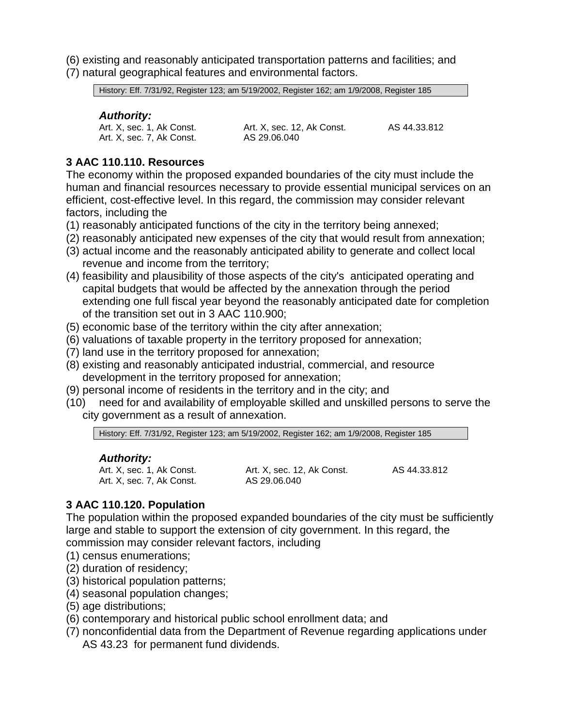- (6) existing and reasonably anticipated transportation patterns and facilities; and
- (7) natural geographical features and environmental factors.

History: Eff. 7/31/92, Register 123; am 5/19/2002, Register 162; am 1/9/2008, Register 185

## *Authority:*

Art. X, sec. 7, Ak Const.

Art. X, sec. 1, Ak Const. Art. X, sec. 12, Ak Const. AS 29.06.040

AS 44.33.812

## <span id="page-6-0"></span>**3 AAC 110.110. Resources**

The economy within the proposed expanded boundaries of the city must include the human and financial resources necessary to provide essential municipal services on an efficient, cost-effective level. In this regard, the commission may consider relevant factors, including the

- (1) reasonably anticipated functions of the city in the territory being annexed;
- (2) reasonably anticipated new expenses of the city that would result from annexation;
- (3) actual income and the reasonably anticipated ability to generate and collect local revenue and income from the territory;
- (4) feasibility and plausibility of those aspects of the city's anticipated operating and capital budgets that would be affected by the annexation through the period extending one full fiscal year beyond the reasonably anticipated date for completion of the transition set out in 3 AAC 110.900;
- (5) economic base of the territory within the city after annexation;
- (6) valuations of taxable property in the territory proposed for annexation;
- (7) land use in the territory proposed for annexation;
- (8) existing and reasonably anticipated industrial, commercial, and resource development in the territory proposed for annexation;
- (9) personal income of residents in the territory and in the city; and
- (10) need for and availability of employable skilled and unskilled persons to serve the city government as a result of annexation.

History: Eff. 7/31/92, Register 123; am 5/19/2002, Register 162; am 1/9/2008, Register 185

## *Authority:*

Art. X, sec. 1, Ak Const. Art. X, sec. 7, Ak Const.

Art. X, sec. 12, Ak Const. AS 44.33.812 AS 29.06.040

## **3 AAC 110.120. Population**

The population within the proposed expanded boundaries of the city must be sufficiently large and stable to support the extension of city government. In this regard, the commission may consider relevant factors, including

- (1) census enumerations;
- (2) duration of residency;
- (3) historical population patterns;
- (4) seasonal population changes;
- (5) age distributions;
- (6) contemporary and historical public school enrollment data; and
- (7) nonconfidential data from the Department of Revenue regarding applications under AS 43.23 for permanent fund dividends.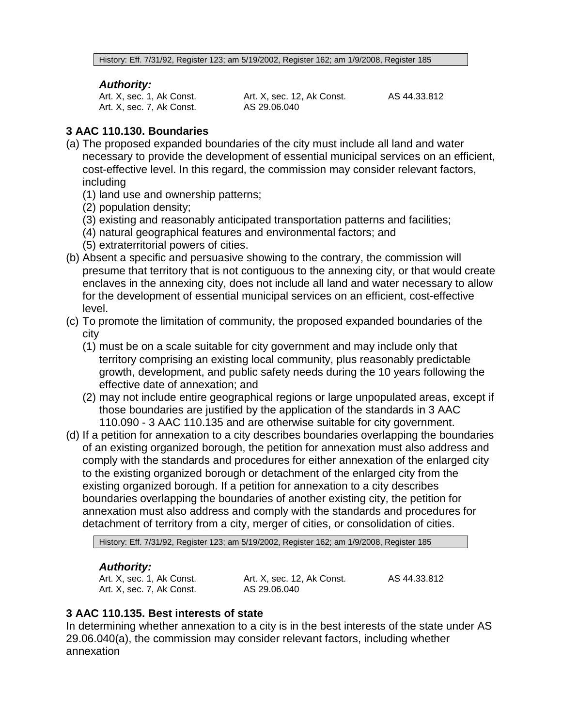History: Eff. 7/31/92, Register 123; am 5/19/2002, Register 162; am 1/9/2008, Register 185

#### *Authority:*

Art. X, sec. 1, Ak Const. Art. X, sec. 7, Ak Const. Art. X, sec. 12, Ak Const. AS 29.06.040

AS 44.33.812

## <span id="page-7-0"></span>**3 AAC 110.130. Boundaries**

- (a) The proposed expanded boundaries of the city must include all land and water necessary to provide the development of essential municipal services on an efficient, cost-effective level. In this regard, the commission may consider relevant factors, including
	- (1) land use and ownership patterns;
	- (2) population density;
	- (3) existing and reasonably anticipated transportation patterns and facilities;
	- (4) natural geographical features and environmental factors; and
	- (5) extraterritorial powers of cities.
- (b) Absent a specific and persuasive showing to the contrary, the commission will presume that territory that is not contiguous to the annexing city, or that would create enclaves in the annexing city, does not include all land and water necessary to allow for the development of essential municipal services on an efficient, cost-effective level.
- (c) To promote the limitation of community, the proposed expanded boundaries of the city
	- (1) must be on a scale suitable for city government and may include only that territory comprising an existing local community, plus reasonably predictable growth, development, and public safety needs during the 10 years following the effective date of annexation; and
	- (2) may not include entire geographical regions or large unpopulated areas, except if those boundaries are justified by the application of the standards in 3 AAC 110.090 - 3 AAC 110.135 and are otherwise suitable for city government.
- (d) If a petition for annexation to a city describes boundaries overlapping the boundaries of an existing organized borough, the petition for annexation must also address and comply with the standards and procedures for either annexation of the enlarged city to the existing organized borough or detachment of the enlarged city from the existing organized borough. If a petition for annexation to a city describes boundaries overlapping the boundaries of another existing city, the petition for annexation must also address and comply with the standards and procedures for detachment of territory from a city, merger of cities, or consolidation of cities.

History: Eff. 7/31/92, Register 123; am 5/19/2002, Register 162; am 1/9/2008, Register 185

## *Authority:*

Art. X, sec. 1, Ak Const. Art. X, sec. 7, Ak Const. Art. X, sec. 12, Ak Const. AS 29.06.040

AS 44.33.812

## <span id="page-7-1"></span>**3 AAC 110.135. Best interests of state**

In determining whether annexation to a city is in the best interests of the state under AS 29.06.040(a), the commission may consider relevant factors, including whether annexation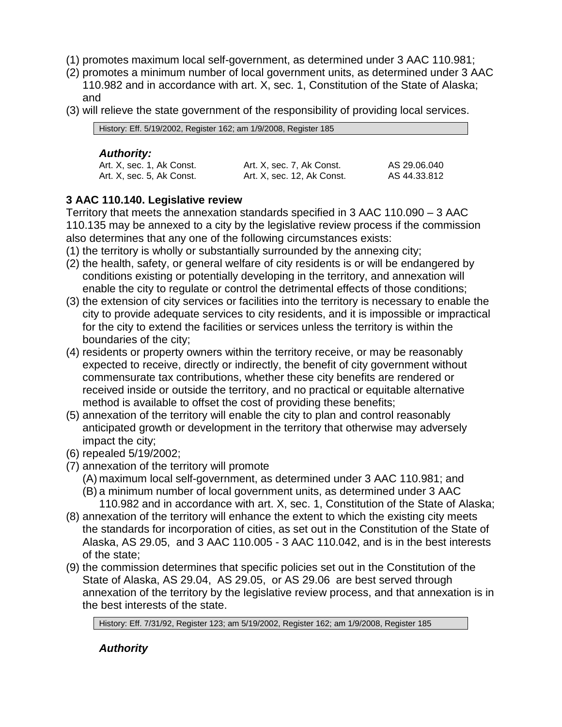- (1) promotes maximum local self-government, as determined under 3 AAC 110.981;
- (2) promotes a minimum number of local government units, as determined under 3 AAC 110.982 and in accordance with art. X, sec. 1, Constitution of the State of Alaska; and
- (3) will relieve the state government of the responsibility of providing local services.

| History: Eff. 5/19/2002, Register 162; am 1/9/2008, Register 185 |                           |              |
|------------------------------------------------------------------|---------------------------|--------------|
| <b>Authority:</b>                                                |                           |              |
| Art. X, sec. 1, Ak Const.                                        | Art. X, sec. 7, Ak Const. | AS 29.06.040 |

Art. X, sec. 12, Ak Const.

AS 44.33.812

## <span id="page-8-0"></span>**3 AAC 110.140. Legislative review**

Art. X, sec. 5, Ak Const.

Territory that meets the annexation standards specified in 3 AAC 110.090 – 3 AAC 110.135 may be annexed to a city by the legislative review process if the commission also determines that any one of the following circumstances exists:

- (1) the territory is wholly or substantially surrounded by the annexing city;
- (2) the health, safety, or general welfare of city residents is or will be endangered by conditions existing or potentially developing in the territory, and annexation will enable the city to regulate or control the detrimental effects of those conditions;
- (3) the extension of city services or facilities into the territory is necessary to enable the city to provide adequate services to city residents, and it is impossible or impractical for the city to extend the facilities or services unless the territory is within the boundaries of the city;
- (4) residents or property owners within the territory receive, or may be reasonably expected to receive, directly or indirectly, the benefit of city government without commensurate tax contributions, whether these city benefits are rendered or received inside or outside the territory, and no practical or equitable alternative method is available to offset the cost of providing these benefits;
- (5) annexation of the territory will enable the city to plan and control reasonably anticipated growth or development in the territory that otherwise may adversely impact the city;
- (6) repealed 5/19/2002;
- (7) annexation of the territory will promote
	- (A) maximum local self-government, as determined under 3 AAC 110.981; and
	- (B) a minimum number of local government units, as determined under 3 AAC 110.982 and in accordance with art. X, sec. 1, Constitution of the State of Alaska;
- (8) annexation of the territory will enhance the extent to which the existing city meets the standards for incorporation of cities, as set out in the Constitution of the State of Alaska, AS 29.05, and 3 AAC 110.005 - 3 AAC 110.042, and is in the best interests of the state;
- (9) the commission determines that specific policies set out in the Constitution of the State of Alaska, AS 29.04, AS 29.05, or AS 29.06 are best served through annexation of the territory by the legislative review process, and that annexation is in the best interests of the state.

History: Eff. 7/31/92, Register 123; am 5/19/2002, Register 162; am 1/9/2008, Register 185

*Authority*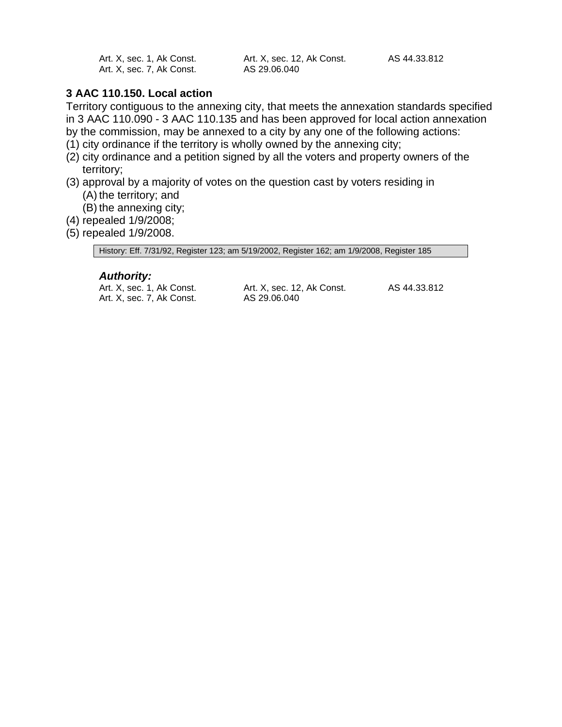| Art. X, sec. 1, Ak Const. | Art. X, sec. 12, Ak Const. | AS 44.33.812 |
|---------------------------|----------------------------|--------------|
| Art. X, sec. 7, Ak Const. | AS 29.06.040               |              |

## <span id="page-9-0"></span>**3 AAC 110.150. Local action**

Territory contiguous to the annexing city, that meets the annexation standards specified in 3 AAC 110.090 - 3 AAC 110.135 and has been approved for local action annexation by the commission, may be annexed to a city by any one of the following actions:

- (1) city ordinance if the territory is wholly owned by the annexing city;
- (2) city ordinance and a petition signed by all the voters and property owners of the territory;
- (3) approval by a majority of votes on the question cast by voters residing in (A) the territory; and
	- (B) the annexing city;
- (4) repealed 1/9/2008;
- (5) repealed 1/9/2008.

History: Eff. 7/31/92, Register 123; am 5/19/2002, Register 162; am 1/9/2008, Register 185

### *Authority:*

Art. X, sec. 1, Ak Const. Art. X, sec. 7, Ak Const.

Art. X, sec. 12, Ak Const. AS 29.06.040

AS 44.33.812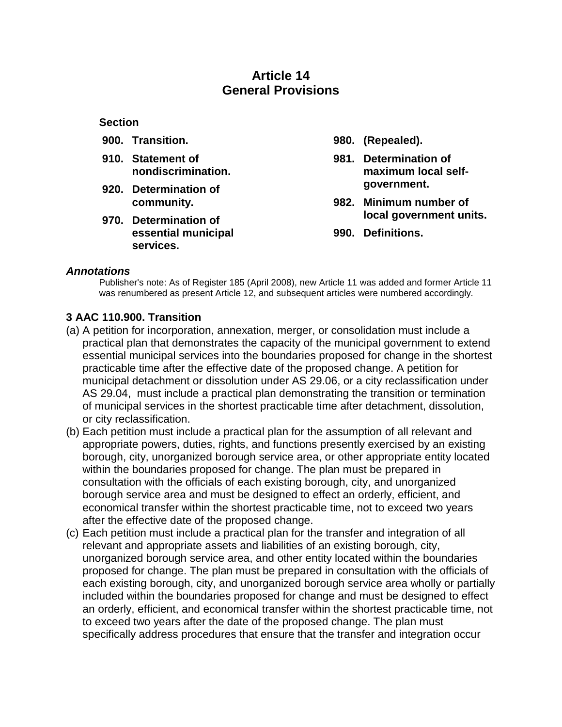# **Article 14 General Provisions**

#### <span id="page-10-0"></span>**Section**

- **900. Transition.**
- **910. Statement of nondiscrimination.**
- **920. Determination of community.**
- **970. Determination of essential municipal services.**
- **980. (Repealed).**
- **981. Determination of maximum local selfgovernment.**
- **982. Minimum number of local government units.**
- **990. Definitions.**

#### *Annotations*

Publisher's note: As of Register 185 (April 2008), new Article 11 was added and former Article 11 was renumbered as present Article 12, and subsequent articles were numbered accordingly.

### <span id="page-10-1"></span>**3 AAC 110.900. Transition**

- (a) A petition for incorporation, annexation, merger, or consolidation must include a practical plan that demonstrates the capacity of the municipal government to extend essential municipal services into the boundaries proposed for change in the shortest practicable time after the effective date of the proposed change. A petition for municipal detachment or dissolution under AS 29.06, or a city reclassification under AS 29.04, must include a practical plan demonstrating the transition or termination of municipal services in the shortest practicable time after detachment, dissolution, or city reclassification.
- (b) Each petition must include a practical plan for the assumption of all relevant and appropriate powers, duties, rights, and functions presently exercised by an existing borough, city, unorganized borough service area, or other appropriate entity located within the boundaries proposed for change. The plan must be prepared in consultation with the officials of each existing borough, city, and unorganized borough service area and must be designed to effect an orderly, efficient, and economical transfer within the shortest practicable time, not to exceed two years after the effective date of the proposed change.
- (c) Each petition must include a practical plan for the transfer and integration of all relevant and appropriate assets and liabilities of an existing borough, city, unorganized borough service area, and other entity located within the boundaries proposed for change. The plan must be prepared in consultation with the officials of each existing borough, city, and unorganized borough service area wholly or partially included within the boundaries proposed for change and must be designed to effect an orderly, efficient, and economical transfer within the shortest practicable time, not to exceed two years after the date of the proposed change. The plan must specifically address procedures that ensure that the transfer and integration occur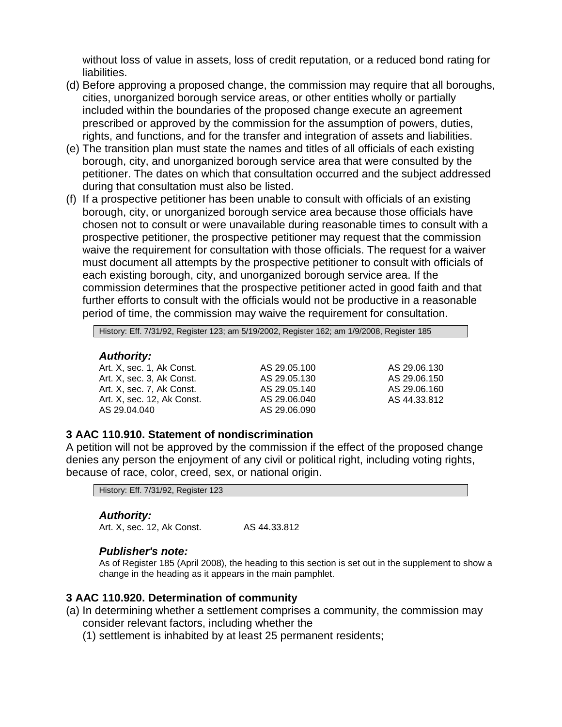without loss of value in assets, loss of credit reputation, or a reduced bond rating for liabilities.

- (d) Before approving a proposed change, the commission may require that all boroughs, cities, unorganized borough service areas, or other entities wholly or partially included within the boundaries of the proposed change execute an agreement prescribed or approved by the commission for the assumption of powers, duties, rights, and functions, and for the transfer and integration of assets and liabilities.
- (e) The transition plan must state the names and titles of all officials of each existing borough, city, and unorganized borough service area that were consulted by the petitioner. The dates on which that consultation occurred and the subject addressed during that consultation must also be listed.
- (f) If a prospective petitioner has been unable to consult with officials of an existing borough, city, or unorganized borough service area because those officials have chosen not to consult or were unavailable during reasonable times to consult with a prospective petitioner, the prospective petitioner may request that the commission waive the requirement for consultation with those officials. The request for a waiver must document all attempts by the prospective petitioner to consult with officials of each existing borough, city, and unorganized borough service area. If the commission determines that the prospective petitioner acted in good faith and that further efforts to consult with the officials would not be productive in a reasonable period of time, the commission may waive the requirement for consultation.

History: Eff. 7/31/92, Register 123; am 5/19/2002, Register 162; am 1/9/2008, Register 185

#### *Authority:*

Art. X, sec. 1, Ak Const. Art. X, sec. 3, Ak Const. Art. X, sec. 7, Ak Const. Art. X, sec. 12, Ak Const. AS 29.04.040

AS 29.05.100 AS 29.05.130 AS 29.05.140 AS 29.06.040 AS 29.06.090

AS 29.06.130 AS 29.06.150 AS 29.06.160 AS 44.33.812

#### <span id="page-11-0"></span>**3 AAC 110.910. Statement of nondiscrimination**

A petition will not be approved by the commission if the effect of the proposed change denies any person the enjoyment of any civil or political right, including voting rights, because of race, color, creed, sex, or national origin.

History: Eff. 7/31/92, Register 123

#### *Authority:*

Art. X, sec. 12, Ak Const. AS 44.33.812

#### *Publisher's note:*

As of Register 185 (April 2008), the heading to this section is set out in the supplement to show a change in the heading as it appears in the main pamphlet.

#### <span id="page-11-1"></span>**3 AAC 110.920. Determination of community**

- (a) In determining whether a settlement comprises a community, the commission may consider relevant factors, including whether the
	- (1) settlement is inhabited by at least 25 permanent residents;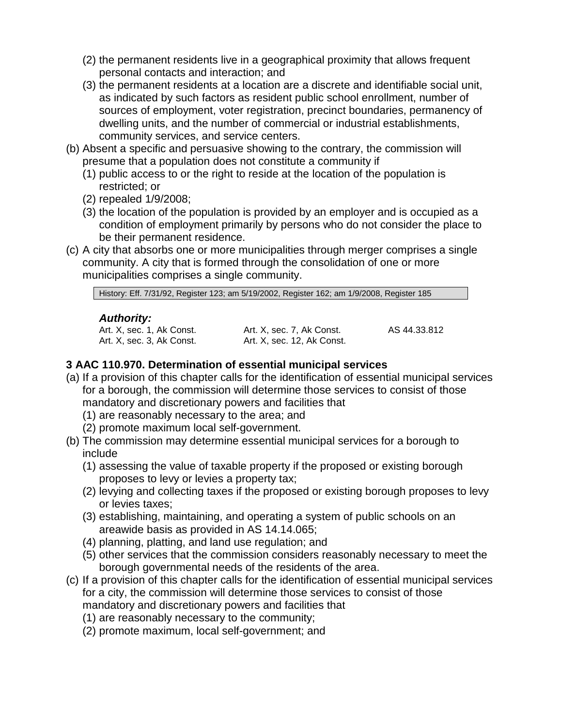- (2) the permanent residents live in a geographical proximity that allows frequent personal contacts and interaction; and
- (3) the permanent residents at a location are a discrete and identifiable social unit, as indicated by such factors as resident public school enrollment, number of sources of employment, voter registration, precinct boundaries, permanency of dwelling units, and the number of commercial or industrial establishments, community services, and service centers.
- (b) Absent a specific and persuasive showing to the contrary, the commission will presume that a population does not constitute a community if
	- (1) public access to or the right to reside at the location of the population is restricted; or
	- (2) repealed 1/9/2008;
	- (3) the location of the population is provided by an employer and is occupied as a condition of employment primarily by persons who do not consider the place to be their permanent residence.
- (c) A city that absorbs one or more municipalities through merger comprises a single community. A city that is formed through the consolidation of one or more municipalities comprises a single community.

History: Eff. 7/31/92, Register 123; am 5/19/2002, Register 162; am 1/9/2008, Register 185

### *Authority:*

Art. X, sec. 1, Ak Const. Art. X, sec. 3, Ak Const. Art. X, sec. 7, Ak Const. Art. X, sec. 12, Ak Const. AS 44.33.812

## <span id="page-12-0"></span>**3 AAC 110.970. Determination of essential municipal services**

- (a) If a provision of this chapter calls for the identification of essential municipal services for a borough, the commission will determine those services to consist of those mandatory and discretionary powers and facilities that
	- (1) are reasonably necessary to the area; and
	- (2) promote maximum local self-government.
- (b) The commission may determine essential municipal services for a borough to include
	- (1) assessing the value of taxable property if the proposed or existing borough proposes to levy or levies a property tax;
	- (2) levying and collecting taxes if the proposed or existing borough proposes to levy or levies taxes;
	- (3) establishing, maintaining, and operating a system of public schools on an areawide basis as provided in AS 14.14.065;
	- (4) planning, platting, and land use regulation; and
	- (5) other services that the commission considers reasonably necessary to meet the borough governmental needs of the residents of the area.
- (c) If a provision of this chapter calls for the identification of essential municipal services for a city, the commission will determine those services to consist of those mandatory and discretionary powers and facilities that
	- (1) are reasonably necessary to the community;
	- (2) promote maximum, local self-government; and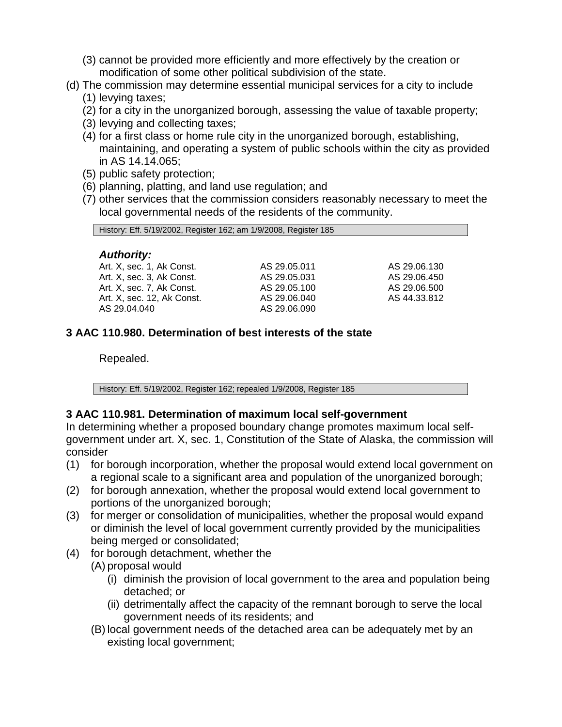- (3) cannot be provided more efficiently and more effectively by the creation or modification of some other political subdivision of the state.
- (d) The commission may determine essential municipal services for a city to include
	- (1) levying taxes;
	- (2) for a city in the unorganized borough, assessing the value of taxable property;
	- (3) levying and collecting taxes;
	- (4) for a first class or home rule city in the unorganized borough, establishing, maintaining, and operating a system of public schools within the city as provided in AS 14.14.065;
	- (5) public safety protection;
	- (6) planning, platting, and land use regulation; and
	- (7) other services that the commission considers reasonably necessary to meet the local governmental needs of the residents of the community.

| History: Eff. 5/19/2002, Register 162; am 1/9/2008, Register 185 |              |              |  |
|------------------------------------------------------------------|--------------|--------------|--|
| <b>Authority:</b>                                                |              |              |  |
| Art. X, sec. 1, Ak Const.                                        | AS 29.05.011 | AS 29.06.130 |  |
| Art. X, sec. 3, Ak Const.                                        | AS 29.05.031 | AS 29.06.450 |  |
| Art. X, sec. 7, Ak Const.                                        | AS 29.05.100 | AS 29.06.500 |  |
| Art. X, sec. 12, Ak Const.                                       | AS 29.06.040 | AS 44.33.812 |  |
| AS 29.04.040                                                     | AS 29.06.090 |              |  |

## <span id="page-13-0"></span>**3 AAC 110.980. Determination of best interests of the state**

Repealed.

History: Eff. 5/19/2002, Register 162; repealed 1/9/2008, Register 185

## <span id="page-13-1"></span>**3 AAC 110.981. Determination of maximum local self-government**

In determining whether a proposed boundary change promotes maximum local selfgovernment under art. X, sec. 1, Constitution of the State of Alaska, the commission will consider

- (1) for borough incorporation, whether the proposal would extend local government on a regional scale to a significant area and population of the unorganized borough;
- (2) for borough annexation, whether the proposal would extend local government to portions of the unorganized borough;
- (3) for merger or consolidation of municipalities, whether the proposal would expand or diminish the level of local government currently provided by the municipalities being merged or consolidated;
- (4) for borough detachment, whether the
	- (A) proposal would
		- (i) diminish the provision of local government to the area and population being detached; or
		- (ii) detrimentally affect the capacity of the remnant borough to serve the local government needs of its residents; and
	- (B) local government needs of the detached area can be adequately met by an existing local government;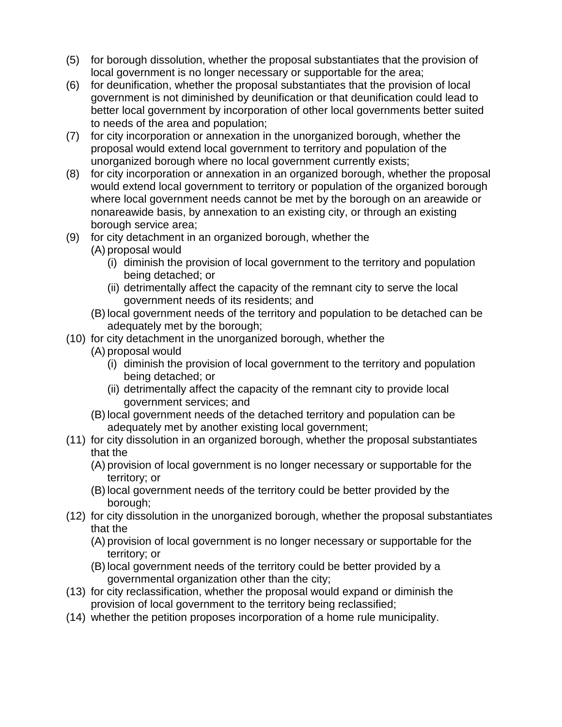- (5) for borough dissolution, whether the proposal substantiates that the provision of local government is no longer necessary or supportable for the area;
- (6) for deunification, whether the proposal substantiates that the provision of local government is not diminished by deunification or that deunification could lead to better local government by incorporation of other local governments better suited to needs of the area and population;
- (7) for city incorporation or annexation in the unorganized borough, whether the proposal would extend local government to territory and population of the unorganized borough where no local government currently exists;
- (8) for city incorporation or annexation in an organized borough, whether the proposal would extend local government to territory or population of the organized borough where local government needs cannot be met by the borough on an areawide or nonareawide basis, by annexation to an existing city, or through an existing borough service area;
- (9) for city detachment in an organized borough, whether the
	- (A) proposal would
		- (i) diminish the provision of local government to the territory and population being detached; or
		- (ii) detrimentally affect the capacity of the remnant city to serve the local government needs of its residents; and
	- (B) local government needs of the territory and population to be detached can be adequately met by the borough;
- (10) for city detachment in the unorganized borough, whether the
	- (A) proposal would
		- (i) diminish the provision of local government to the territory and population being detached; or
		- (ii) detrimentally affect the capacity of the remnant city to provide local government services; and
	- (B) local government needs of the detached territory and population can be adequately met by another existing local government;
- (11) for city dissolution in an organized borough, whether the proposal substantiates that the
	- (A) provision of local government is no longer necessary or supportable for the territory; or
	- (B) local government needs of the territory could be better provided by the borough;
- (12) for city dissolution in the unorganized borough, whether the proposal substantiates that the
	- (A) provision of local government is no longer necessary or supportable for the territory; or
	- (B) local government needs of the territory could be better provided by a governmental organization other than the city;
- (13) for city reclassification, whether the proposal would expand or diminish the provision of local government to the territory being reclassified;
- (14) whether the petition proposes incorporation of a home rule municipality.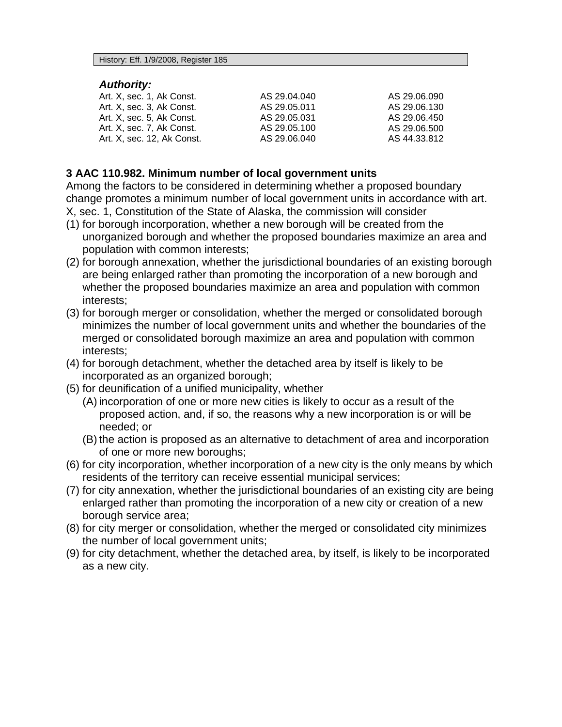#### *Authority:*

| Art. X. sec. 1. Ak Const.  | AS 29.04.040 | AS 29.06.090 |
|----------------------------|--------------|--------------|
| Art. X, sec. 3, Ak Const.  | AS 29.05.011 | AS 29.06.130 |
| Art. X. sec. 5. Ak Const.  | AS 29.05.031 | AS 29.06.450 |
| Art. X. sec. 7. Ak Const.  | AS 29.05.100 | AS 29.06.500 |
| Art. X, sec. 12, Ak Const. | AS 29.06.040 | AS 44.33.812 |

#### <span id="page-15-0"></span>**3 AAC 110.982. Minimum number of local government units**

Among the factors to be considered in determining whether a proposed boundary change promotes a minimum number of local government units in accordance with art. X, sec. 1, Constitution of the State of Alaska, the commission will consider

- (1) for borough incorporation, whether a new borough will be created from the unorganized borough and whether the proposed boundaries maximize an area and population with common interests;
- (2) for borough annexation, whether the jurisdictional boundaries of an existing borough are being enlarged rather than promoting the incorporation of a new borough and whether the proposed boundaries maximize an area and population with common interests;
- (3) for borough merger or consolidation, whether the merged or consolidated borough minimizes the number of local government units and whether the boundaries of the merged or consolidated borough maximize an area and population with common interests;
- (4) for borough detachment, whether the detached area by itself is likely to be incorporated as an organized borough;
- (5) for deunification of a unified municipality, whether
	- (A) incorporation of one or more new cities is likely to occur as a result of the proposed action, and, if so, the reasons why a new incorporation is or will be needed; or
	- (B) the action is proposed as an alternative to detachment of area and incorporation of one or more new boroughs;
- (6) for city incorporation, whether incorporation of a new city is the only means by which residents of the territory can receive essential municipal services;
- (7) for city annexation, whether the jurisdictional boundaries of an existing city are being enlarged rather than promoting the incorporation of a new city or creation of a new borough service area;
- (8) for city merger or consolidation, whether the merged or consolidated city minimizes the number of local government units;
- (9) for city detachment, whether the detached area, by itself, is likely to be incorporated as a new city.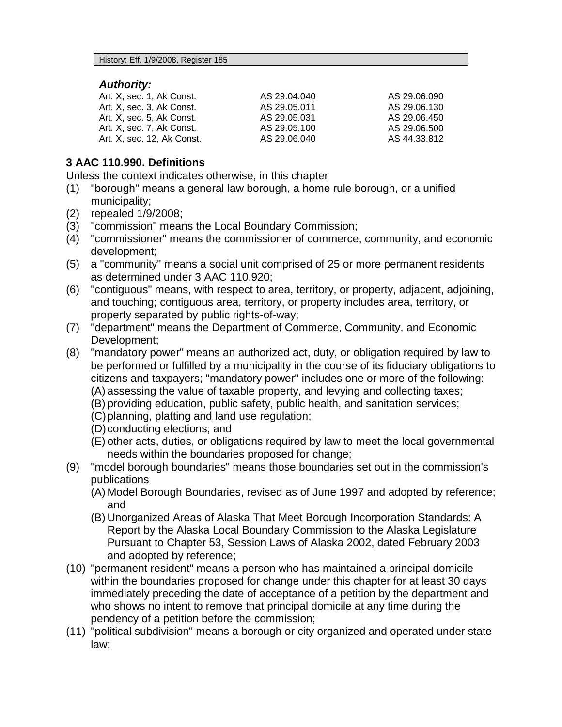#### *Authority:*

| Art. X, sec. 1, Ak Const.  | AS 29.04.040 | AS 29.06.090 |
|----------------------------|--------------|--------------|
| Art. X, sec. 3, Ak Const.  | AS 29.05.011 | AS 29.06.130 |
| Art. X, sec. 5, Ak Const.  | AS 29.05.031 | AS 29.06.450 |
| Art. X. sec. 7. Ak Const.  | AS 29.05.100 | AS 29.06.500 |
| Art. X. sec. 12. Ak Const. | AS 29.06.040 | AS 44.33.812 |

## <span id="page-16-0"></span>**3 AAC 110.990. Definitions**

Unless the context indicates otherwise, in this chapter

- (1) "borough" means a general law borough, a home rule borough, or a unified municipality;
- (2) repealed 1/9/2008;
- (3) "commission" means the Local Boundary Commission;<br>(4) "commissioner" means the commissioner of commerce.
- "commissioner" means the commissioner of commerce, community, and economic development;
- (5) a "community" means a social unit comprised of 25 or more permanent residents as determined under 3 AAC 110.920;
- (6) "contiguous" means, with respect to area, territory, or property, adjacent, adjoining, and touching; contiguous area, territory, or property includes area, territory, or property separated by public rights-of-way;
- (7) "department" means the Department of Commerce, Community, and Economic Development;
- (8) "mandatory power" means an authorized act, duty, or obligation required by law to be performed or fulfilled by a municipality in the course of its fiduciary obligations to citizens and taxpayers; "mandatory power" includes one or more of the following: (A) assessing the value of taxable property, and levying and collecting taxes;
	- (B) providing education, public safety, public health, and sanitation services;
	- (C)planning, platting and land use regulation;
	- (D)conducting elections; and
	- (E) other acts, duties, or obligations required by law to meet the local governmental needs within the boundaries proposed for change;
- (9) "model borough boundaries" means those boundaries set out in the commission's publications
	- (A) Model Borough Boundaries, revised as of June 1997 and adopted by reference; and
	- (B) Unorganized Areas of Alaska That Meet Borough Incorporation Standards: A Report by the Alaska Local Boundary Commission to the Alaska Legislature Pursuant to Chapter 53, Session Laws of Alaska 2002, dated February 2003 and adopted by reference;
- (10) "permanent resident" means a person who has maintained a principal domicile within the boundaries proposed for change under this chapter for at least 30 days immediately preceding the date of acceptance of a petition by the department and who shows no intent to remove that principal domicile at any time during the pendency of a petition before the commission;
- (11) "political subdivision" means a borough or city organized and operated under state law;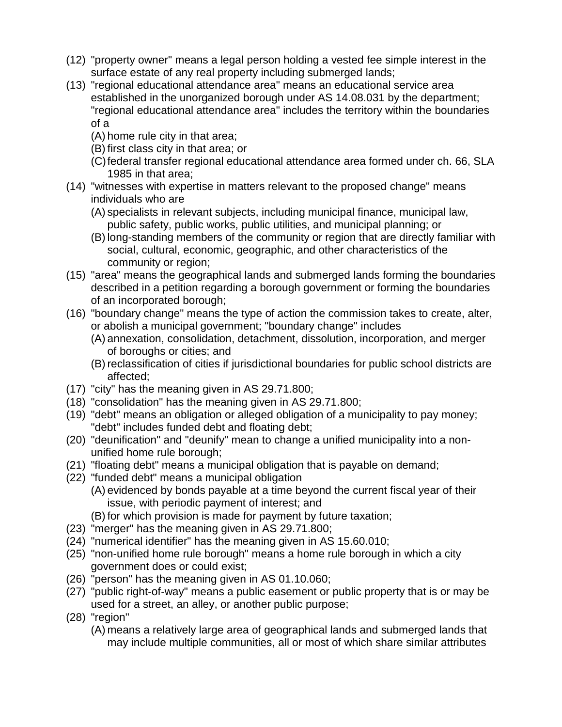- (12) "property owner" means a legal person holding a vested fee simple interest in the surface estate of any real property including submerged lands;
- (13) "regional educational attendance area" means an educational service area established in the unorganized borough under AS 14.08.031 by the department; "regional educational attendance area" includes the territory within the boundaries of a
	- (A) home rule city in that area;
	- (B) first class city in that area; or
	- (C)federal transfer regional educational attendance area formed under ch. 66, SLA 1985 in that area;
- (14) "witnesses with expertise in matters relevant to the proposed change" means individuals who are
	- (A) specialists in relevant subjects, including municipal finance, municipal law, public safety, public works, public utilities, and municipal planning; or
	- (B) long-standing members of the community or region that are directly familiar with social, cultural, economic, geographic, and other characteristics of the community or region;
- (15) "area" means the geographical lands and submerged lands forming the boundaries described in a petition regarding a borough government or forming the boundaries of an incorporated borough;
- (16) "boundary change" means the type of action the commission takes to create, alter, or abolish a municipal government; "boundary change" includes
	- (A) annexation, consolidation, detachment, dissolution, incorporation, and merger of boroughs or cities; and
	- (B) reclassification of cities if jurisdictional boundaries for public school districts are affected;
- (17) "city" has the meaning given in AS 29.71.800;
- (18) "consolidation" has the meaning given in AS 29.71.800;
- (19) "debt" means an obligation or alleged obligation of a municipality to pay money; "debt" includes funded debt and floating debt;
- (20) "deunification" and "deunify" mean to change a unified municipality into a nonunified home rule borough;
- (21) "floating debt" means a municipal obligation that is payable on demand;
- (22) "funded debt" means a municipal obligation
	- (A) evidenced by bonds payable at a time beyond the current fiscal year of their issue, with periodic payment of interest; and
	- (B) for which provision is made for payment by future taxation;
- (23) "merger" has the meaning given in AS 29.71.800;
- (24) "numerical identifier" has the meaning given in AS 15.60.010;
- (25) "non-unified home rule borough" means a home rule borough in which a city government does or could exist;
- (26) "person" has the meaning given in AS 01.10.060;
- (27) "public right-of-way" means a public easement or public property that is or may be used for a street, an alley, or another public purpose;
- (28) "region"
	- (A) means a relatively large area of geographical lands and submerged lands that may include multiple communities, all or most of which share similar attributes